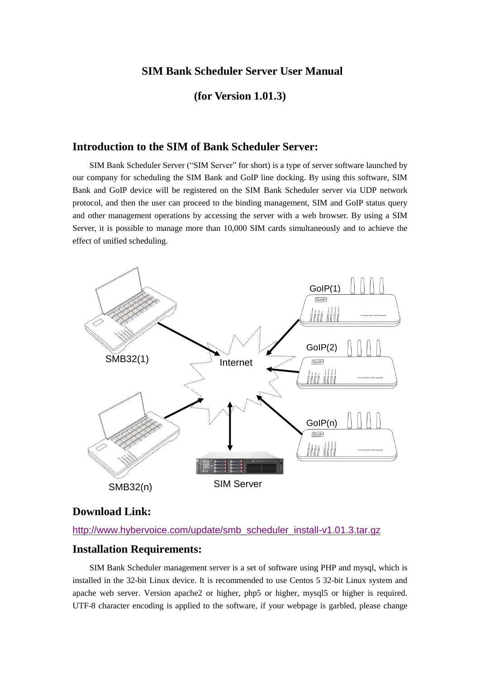### **SIM Bank Scheduler Server User Manual**

### **(for Version 1.01.3)**

### **Introduction to the SIM of Bank Scheduler Server:**

SIM Bank Scheduler Server ("SIM Server" for short) is a type of server software launched by our company for scheduling the SIM Bank and GoIP line docking. By using this software, SIM Bank and GoIP device will be registered on the SIM Bank Scheduler server via UDP network protocol, and then the user can proceed to the binding management, SIM and GoIP status query and other management operations by accessing the server with a web browser. By using a SIM Server, it is possible to manage more than 10,000 SIM cards simultaneously and to achieve the effect of unified scheduling.



# **Download Link:**

#### [http://www.hybervoice.com/update/smb\\_scheduler\\_install-v1.01.3.tar.gz](http://www.hybervoice.com/update/smb_scheduler_install-v1.01.3.tar.gz)

# **Installation Requirements:**

SIM Bank Scheduler management server is a set of software using PHP and mysql, which is installed in the 32-bit Linux device. It is recommended to use Centos 5 32-bit Linux system and apache web server. Version apache2 or higher, php5 or higher, mysql5 or higher is required. UTF-8 character encoding is applied to the software, if your webpage is garbled, please change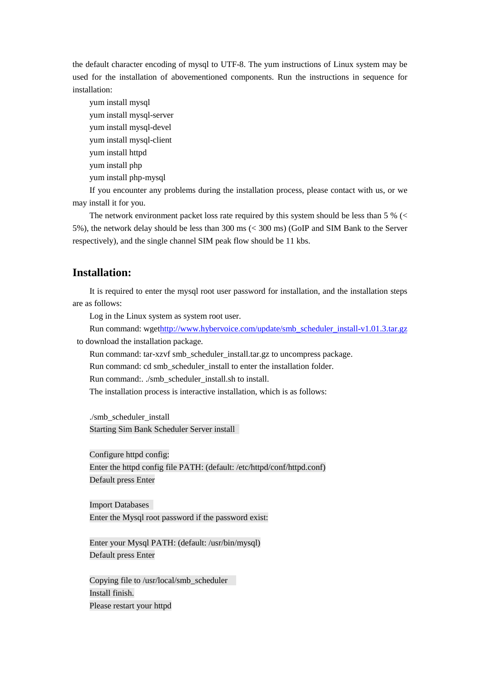the default character encoding of mysql to UTF-8. The yum instructions of Linux system may be used for the installation of abovementioned components. Run the instructions in sequence for installation:

yum install mysql yum install mysql-server yum install mysql-devel yum install mysql-client yum install httpd yum install php yum install php-mysql

If you encounter any problems during the installation process, please contact with us, or we may install it for you.

The network environment packet loss rate required by this system should be less than 5 % (< 5%), the network delay should be less than 300 ms (< 300 ms) (GoIP and SIM Bank to the Server respectively), and the single channel SIM peak flow should be 11 kbs.

### **Installation:**

It is required to enter the mysql root user password for installation, and the installation steps are as follows:

Log in the Linux system as system root user.

Run command: wge[thttp://www.hybervoice.com/update/smb\\_scheduler\\_install-v1.01.3.tar.gz](http://www.hybervoice.com/update/smb_scheduler_install-v1.01.3.tar.gz) to download the installation package.

Run command: tar-xzvf smb\_scheduler\_install.tar.gz to uncompress package.

Run command: cd smb\_scheduler\_install to enter the installation folder.

Run command:. ./smb\_scheduler\_install.sh to install.

The installation process is interactive installation, which is as follows:

./smb\_scheduler\_install Starting Sim Bank Scheduler Server install

Configure httpd config: Enter the httpd config file PATH: (default: /etc/httpd/conf/httpd.conf) Default press Enter

Import Databases Enter the Mysql root password if the password exist:

Enter your Mysql PATH: (default: /usr/bin/mysql) Default press Enter

Copying file to /usr/local/smb\_scheduler Install finish. Please restart your httpd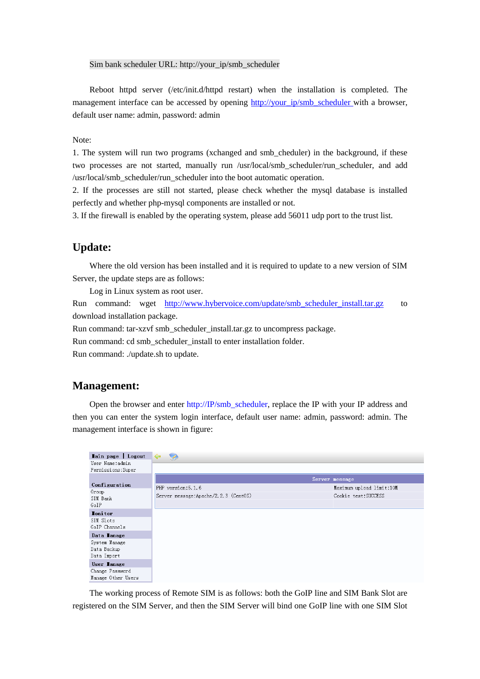#### Sim bank scheduler URL: http://your\_ip/smb\_scheduler

Reboot httpd server (/etc/init.d/httpd restart) when the installation is completed. The management interface can be accessed by opening [http://your\\_ip/smb\\_scheduler](http://your_ip/smb_scheduler) with a browser, default user name: admin, password: admin

#### Note:

1. The system will run two programs (xchanged and smb\_cheduler) in the background, if these two processes are not started, manually run /usr/local/smb\_scheduler/run\_scheduler, and add /usr/local/smb\_scheduler/run\_scheduler into the boot automatic operation.

2. If the processes are still not started, please check whether the mysql database is installed perfectly and whether php-mysql components are installed or not.

3. If the firewall is enabled by the operating system, please add 56011 udp port to the trust list.

### **Update:**

Where the old version has been installed and it is required to update to a new version of SIM Server, the update steps are as follows:

Log in Linux system as root user.

Run command: wget http://www.hybervoice.com/update/smb scheduler install.tar.gz to download installation package.

Run command: tar-xzvf smb\_scheduler\_install.tar.gz to uncompress package.

Run command: cd smb\_scheduler\_install to enter installation folder.

Run command: ./update.sh to update.

### **Management:**

Open the browser and enter http://IP/smb\_scheduler, replace the IP with your IP address and then you can enter the system login interface, default user name: admin, password: admin. The management interface is shown in figure:

| Lain page   Logout                          | $\leftarrow$                          |                          |
|---------------------------------------------|---------------------------------------|--------------------------|
| User Name:admin<br>Permissions: Super       |                                       |                          |
|                                             |                                       | Server message           |
| Configuration                               | PHP version: 5.1.6                    | Maximum upload limit:10M |
| Group<br>SIM Bank                           | Server message: Apache/2.2.3 (CentOS) | Cookie test:SUCCESS      |
| GoIP                                        |                                       |                          |
| <b>Ionitor</b>                              |                                       |                          |
| SIM Slots<br>GoIP Channels                  |                                       |                          |
| Data lanage                                 |                                       |                          |
| System Manage<br>Data Backup<br>Data Import |                                       |                          |
| User lanage                                 |                                       |                          |
| Change Password                             |                                       |                          |
| Manage Other Users                          |                                       |                          |

The working process of Remote SIM is as follows: both the GoIP line and SIM Bank Slot are registered on the SIM Server, and then the SIM Server will bind one GoIP line with one SIM Slot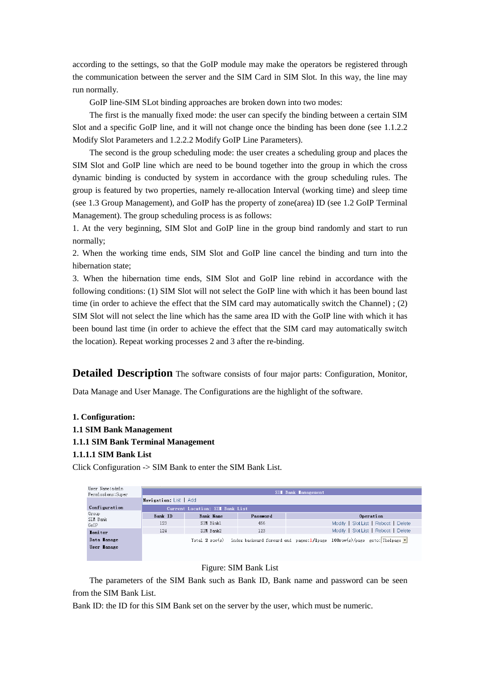according to the settings, so that the GoIP module may make the operators be registered through the communication between the server and the SIM Card in SIM Slot. In this way, the line may run normally.

GoIP line-SIM SLot binding approaches are broken down into two modes:

The first is the manually fixed mode: the user can specify the binding between a certain SIM Slot and a specific GoIP line, and it will not change once the binding has been done (see 1.1.2.2 Modify Slot Parameters and 1.2.2.2 Modify GoIP Line Parameters).

The second is the group scheduling mode: the user creates a scheduling group and places the SIM Slot and GoIP line which are need to be bound together into the group in which the cross dynamic binding is conducted by system in accordance with the group scheduling rules. The group is featured by two properties, namely re-allocation Interval (working time) and sleep time (see 1.3 Group Management), and GoIP has the property of zone(area) ID (see 1.2 GoIP Terminal Management). The group scheduling process is as follows:

1. At the very beginning, SIM Slot and GoIP line in the group bind randomly and start to run normally;

2. When the working time ends, SIM Slot and GoIP line cancel the binding and turn into the hibernation state;

3. When the hibernation time ends, SIM Slot and GoIP line rebind in accordance with the following conditions: (1) SIM Slot will not select the GoIP line with which it has been bound last time (in order to achieve the effect that the SIM card may automatically switch the Channel) ; (2) SIM Slot will not select the line which has the same area ID with the GoIP line with which it has been bound last time (in order to achieve the effect that the SIM card may automatically switch the location). Repeat working processes 2 and 3 after the re-binding.

**Detailed Description** The software consists of four major parts: Configuration, Monitor,

Data Manage and User Manage. The Configurations are the highlight of the software.

#### **1. Configuration:**

- **1.1 SIM Bank Management**
- **1.1.1 SIM Bank Terminal Management**
- **1.1.1.1 SIM Bank List**

Click Configuration -> SIM Bank to enter the SIM Bank List.

| User Name:admin<br>Permissions: Super | SII Bank Ianagement    |                                 |          |  |                                                                                                           |  |  |  |
|---------------------------------------|------------------------|---------------------------------|----------|--|-----------------------------------------------------------------------------------------------------------|--|--|--|
|                                       | Navigation: List   Add |                                 |          |  |                                                                                                           |  |  |  |
| Configuration                         |                        | Current Location: SII Bank List |          |  |                                                                                                           |  |  |  |
| Group<br>SIM Bank                     | Bank ID                | Bank Name                       | Password |  | Operation                                                                                                 |  |  |  |
| GoIP                                  | 123                    | SIM Bink1                       | 456      |  | Modify   Slot List   Reboot   Delete                                                                      |  |  |  |
| <b>Ionitor</b>                        | 124                    | SIM Bank2                       | 123      |  | Modify   Slot List   Reboot   Delete                                                                      |  |  |  |
| Data lanage                           |                        |                                 |          |  | Total 2 row(s) index backward forward end pages:1/1page 100row(s)/page goto: Thelpage $\vert \cdot \vert$ |  |  |  |
| User lanage                           |                        |                                 |          |  |                                                                                                           |  |  |  |
|                                       |                        |                                 |          |  |                                                                                                           |  |  |  |

#### Figure: SIM Bank List

The parameters of the SIM Bank such as Bank ID, Bank name and password can be seen from the SIM Bank List.

Bank ID: the ID for this SIM Bank set on the server by the user, which must be numeric.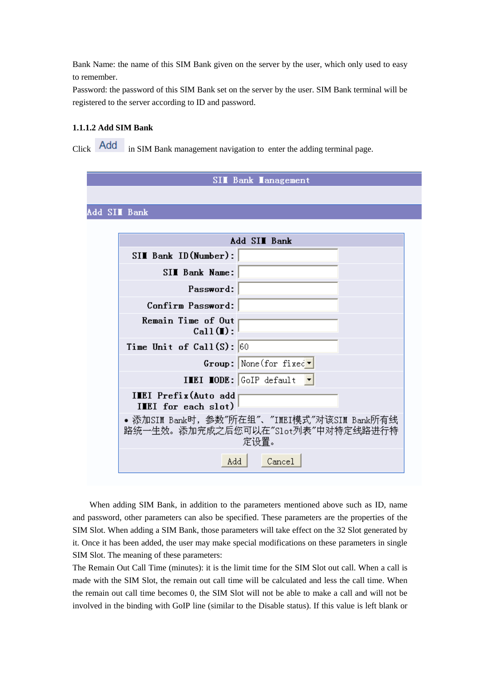Bank Name: the name of this SIM Bank given on the server by the user, which only used to easy to remember.

Password: the password of this SIM Bank set on the server by the user. SIM Bank terminal will be registered to the server according to ID and password.

### **1.1.1.2 Add SIM Bank**

Click **Add** in SIM Bank management navigation to enter the adding terminal page.

|                                              | SII Bank Ianagement                                                                      |
|----------------------------------------------|------------------------------------------------------------------------------------------|
|                                              |                                                                                          |
| Add SII Bank                                 |                                                                                          |
|                                              |                                                                                          |
|                                              | Add SII Bank                                                                             |
| SIM Bank ID(Number):                         |                                                                                          |
| SII Bank Name:                               |                                                                                          |
| Password:                                    |                                                                                          |
| Confirm Password:                            |                                                                                          |
| Remain Time of Out<br>Call(I):               |                                                                                          |
| Time Unit of $Call(S): 60$                   |                                                                                          |
|                                              | $Group: None(for fixed \n* $                                                             |
|                                              | <b>IMEI MODE:</b> GoIP default                                                           |
| IMEI Prefix (Auto add<br>IIEI for each slot) |                                                                                          |
|                                              | •添加SIM Bank时, 参数"所在组"、"IMEI模式"对该SIM Bank所有线<br>路统一生效。添加完成之后您可以在″Slot列表″中对特定线路进行特<br>定设置。 |
| Add                                          | Cancel                                                                                   |

When adding SIM Bank, in addition to the parameters mentioned above such as ID, name and password, other parameters can also be specified. These parameters are the properties of the SIM Slot. When adding a SIM Bank, those parameters will take effect on the 32 Slot generated by it. Once it has been added, the user may make special modifications on these parameters in single SIM Slot. The meaning of these parameters:

The Remain Out Call Time (minutes): it is the limit time for the SIM Slot out call. When a call is made with the SIM Slot, the remain out call time will be calculated and less the call time. When the remain out call time becomes 0, the SIM Slot will not be able to make a call and will not be involved in the binding with GoIP line (similar to the Disable status). If this value is left blank or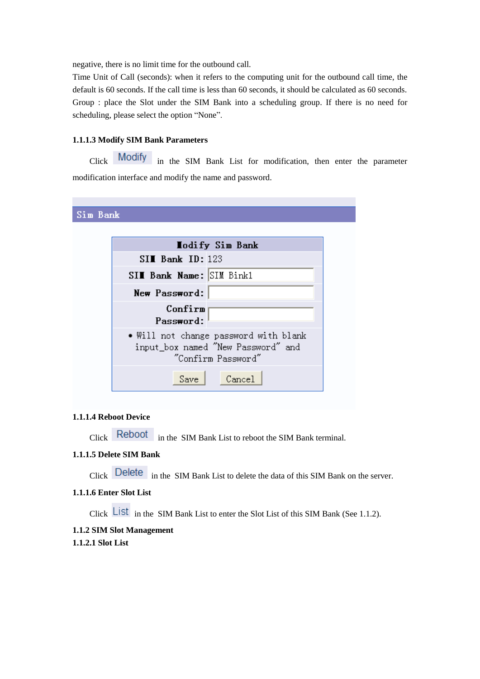negative, there is no limit time for the outbound call.

Time Unit of Call (seconds): when it refers to the computing unit for the outbound call time, the default is 60 seconds. If the call time is less than 60 seconds, it should be calculated as 60 seconds. Group : place the Slot under the SIM Bank into a scheduling group. If there is no need for scheduling, please select the option "None".

#### **1.1.1.3 Modify SIM Bank Parameters**

Click Modify in the SIM Bank List for modification, then enter the parameter modification interface and modify the name and password.

Sim Bank

|               | <b>Hodify Sim Bank</b>                                                                            |
|---------------|---------------------------------------------------------------------------------------------------|
|               | $SII$ Bank ID: 123                                                                                |
|               | SII Bank Name: SIM Bink1                                                                          |
| New Password: |                                                                                                   |
|               | Confirm<br>Password:                                                                              |
|               | • Will not change password with blank<br>input_box named "New Password" and<br>"Confirm Password" |
|               | Save<br>$\mathtt{Cancel}$                                                                         |

#### **1.1.1.4 Reboot Device**

Click Reboot in the SIM Bank List to reboot the SIM Bank terminal.

### **1.1.1.5 Delete SIM Bank**

Click Delete in the SIM Bank List to delete the data of this SIM Bank on the server.

#### **1.1.1.6 Enter Slot List**

Click  $\overline{\text{List}}$  in the SIM Bank List to enter the Slot List of this SIM Bank (See 1.1.2).

#### **1.1.2 SIM Slot Management**

#### **1.1.2.1 Slot List**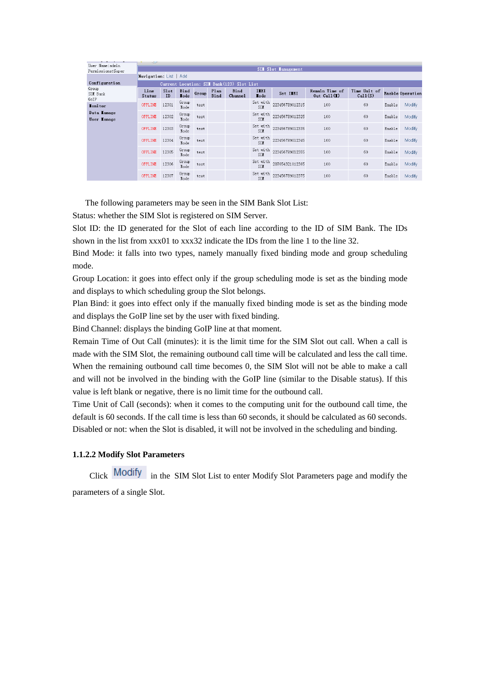| User Name:admin            | 05 0                   |                     |                     |       |              |                                            |                            |                               |                                 |                         |        |                  |
|----------------------------|------------------------|---------------------|---------------------|-------|--------------|--------------------------------------------|----------------------------|-------------------------------|---------------------------------|-------------------------|--------|------------------|
| Permissions: Super         |                        | SII Slot Ianagement |                     |       |              |                                            |                            |                               |                                 |                         |        |                  |
|                            | Navigation: List   Add |                     |                     |       |              |                                            |                            |                               |                                 |                         |        |                  |
| Configuration              |                        |                     |                     |       |              | Current Location: SII Bank (123) Slot List |                            |                               |                                 |                         |        |                  |
| Group<br>SIM Bank          | Line<br>Status         | Slot<br>ID          | Bind<br><b>Lode</b> | Group | Plan<br>Bind | Bind<br>Channel                            | <b>IIEI</b><br><b>Lode</b> | Set IIEI                      | Remain Time of<br>Out $Call(I)$ | Time Unit of<br>Call(S) |        | Enable Operation |
| GoIP<br><b>Lonitor</b>     | OFFLINE                | 12301               | Group<br>Mode       | test  |              |                                            | Set with<br>SIM            | 223456789012315               | 100                             | 60                      | Enable | Modify           |
| Data lanage<br>User lanage | OFFLINE                | 12302               | Group<br>Mode       | test  |              |                                            | Set with<br><b>SIM</b>     | 223456789012325               | 100                             | 60                      | Enable | Modify           |
|                            | OFFLINE                | 12303               | Group<br>Mode       | test  |              |                                            | Set with<br>SIM            | 223456789012335               | 100                             | 60                      | Enable | Modify           |
|                            | OFFLINE                | 12304               | Group<br>Mode       | test  |              |                                            | Set with<br>SIM            | 223456789012345               | 100                             | 60                      | Enable | Modify           |
|                            | OFFLINE                | 12305               | Group<br>Mode       | test  |              |                                            | <b>STM</b>                 | Set with $\,$ 223456789012355 | 100                             | 60                      | Enable | Modify           |
|                            | OFFLINE                | 12306               | Group<br>Mode       | test  |              |                                            | Set with<br>SIM            | 287654321012365               | 100                             | 60                      | Enable | Modify           |
|                            | OFFLINE                | 12307               | Group<br>Mode       | test  |              |                                            | SIM                        | Set with $\,$ 223456789012375 | 100                             | 60                      | Enable | Modify           |

The following parameters may be seen in the SIM Bank Slot List:

Status: whether the SIM Slot is registered on SIM Server.

Slot ID: the ID generated for the Slot of each line according to the ID of SIM Bank. The IDs shown in the list from xxx01 to xxx32 indicate the IDs from the line 1 to the line 32.

Bind Mode: it falls into two types, namely manually fixed binding mode and group scheduling mode.

Group Location: it goes into effect only if the group scheduling mode is set as the binding mode and displays to which scheduling group the Slot belongs.

Plan Bind: it goes into effect only if the manually fixed binding mode is set as the binding mode and displays the GoIP line set by the user with fixed binding.

Bind Channel: displays the binding GoIP line at that moment.

Remain Time of Out Call (minutes): it is the limit time for the SIM Slot out call. When a call is made with the SIM Slot, the remaining outbound call time will be calculated and less the call time. When the remaining outbound call time becomes 0, the SIM Slot will not be able to make a call and will not be involved in the binding with the GoIP line (similar to the Disable status). If this value is left blank or negative, there is no limit time for the outbound call.

Time Unit of Call (seconds): when it comes to the computing unit for the outbound call time, the default is 60 seconds. If the call time is less than 60 seconds, it should be calculated as 60 seconds. Disabled or not: when the Slot is disabled, it will not be involved in the scheduling and binding.

### **1.1.2.2 Modify Slot Parameters**

Click Modify in the SIM Slot List to enter Modify Slot Parameters page and modify the parameters of a single Slot.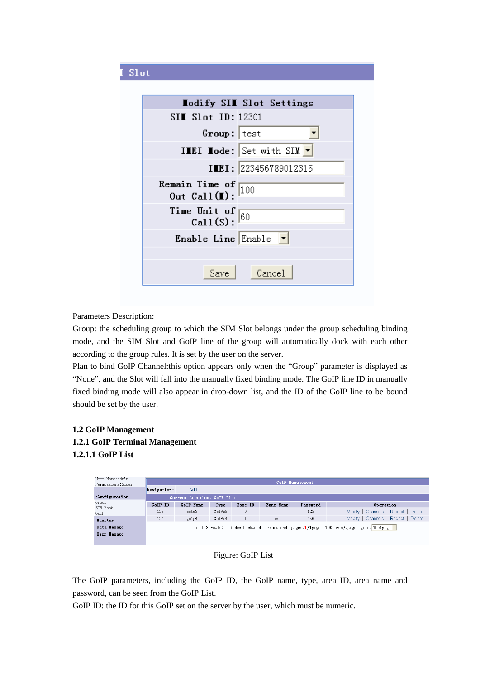## Slot

|                                                    | <b>Iodify SII Slot Settings</b>                     |
|----------------------------------------------------|-----------------------------------------------------|
| $SII$ Slot ID: 12301                               |                                                     |
| Group: test                                        |                                                     |
|                                                    | <b>INEI Hode:</b> Set with SIM $\blacktriangledown$ |
|                                                    | IMEI: 223456789012315                               |
| Remain Time of $\boxed{100}$<br>Out Call(I):       |                                                     |
| Time Unit of $\frac{\text{Call}}{\text{Cal}(S)}$ : |                                                     |
| Enable Line Enable                                 |                                                     |
|                                                    |                                                     |
| Save                                               | Cancel                                              |

Parameters Description:

Group: the scheduling group to which the SIM Slot belongs under the group scheduling binding mode, and the SIM Slot and GoIP line of the group will automatically dock with each other according to the group rules. It is set by the user on the server.

Plan to bind GoIP Channel:this option appears only when the "Group" parameter is displayed as "None", and the Slot will fall into the manually fixed binding mode. The GoIP line ID in manually fixed binding mode will also appear in drop-down list, and the ID of the GoIP line to be bound should be set by the user.

### **1.2 GoIP Management 1.2.1 GoIP Terminal Management 1.2.1.1 GoIP List**

| Iser Name:admin<br>Permissions: Super | <b>GoIP</b> lanagement<br>Navigation: List   Add                                               |                             |        |              |           |          |                                     |  |  |
|---------------------------------------|------------------------------------------------------------------------------------------------|-----------------------------|--------|--------------|-----------|----------|-------------------------------------|--|--|
| Configuration                         |                                                                                                | Current Location: GoIP List |        |              |           |          |                                     |  |  |
| Group<br>SIM Bank                     | GoIP ID                                                                                        | GoIP Name                   | Type   | Zone ID      | Zone Name | Password | Operation                           |  |  |
| GoIP                                  | 123                                                                                            | goip8                       | GoIPx8 | $\mathbf{0}$ |           | 123      | Modify   Channels   Reboot   Delete |  |  |
| <b>Ionitor</b>                        | 124                                                                                            | goip4                       | GoIPx4 |              | test      | 456      | Modify   Channels   Reboot   Delete |  |  |
| Data Lanage                           | Total 2 row(s) index backward forward end pages: $1/1$ page $100$ row(s)/page goto: The 1 page |                             |        |              |           |          |                                     |  |  |
| User lanage                           |                                                                                                |                             |        |              |           |          |                                     |  |  |
|                                       |                                                                                                |                             |        |              |           |          |                                     |  |  |

Figure: GoIP List

The GoIP parameters, including the GoIP ID, the GoIP name, type, area ID, area name and password, can be seen from the GoIP List.

GoIP ID: the ID for this GoIP set on the server by the user, which must be numeric.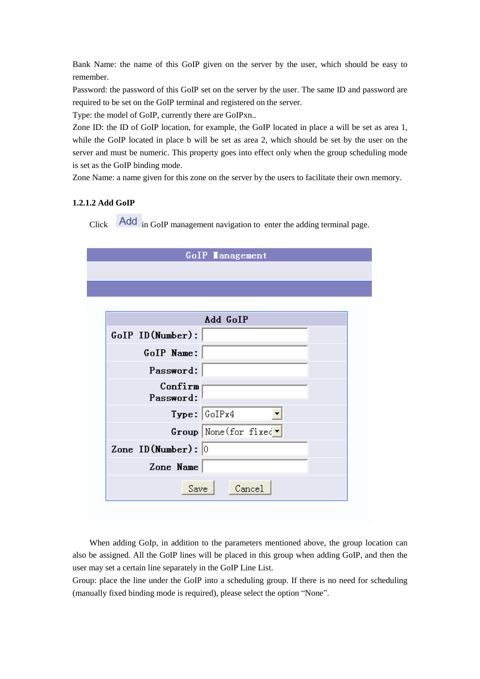Bank Name: the name of this GoIP given on the server by the user, which should be easy to remember.

Password: the password of this GoIP set on the server by the user. The same ID and password are required to be set on the GoIP terminal and registered on the server.

Type: the model of GoIP, currently there are GoIPxn..

Zone ID: the ID of GoIP location, for example, the GoIP located in place a will be set as area 1, while the GoIP located in place b will be set as area 2, which should be set by the user on the server and must be numeric. This property goes into effect only when the group scheduling mode is set as the GoIP binding mode.

Zone Name: a name given for this zone on the server by the users to facilitate their own memory.

#### **1.2.1.2 Add GoIP**

Click **Add** in GoIP management navigation to enter the adding terminal page.

| <b>GoIP</b> Lanagement   |                                                    |  |  |  |  |
|--------------------------|----------------------------------------------------|--|--|--|--|
|                          |                                                    |  |  |  |  |
|                          |                                                    |  |  |  |  |
|                          |                                                    |  |  |  |  |
|                          | Add GoIP                                           |  |  |  |  |
| GoIP ID(Number):         |                                                    |  |  |  |  |
| GoIP Name:               |                                                    |  |  |  |  |
| Password:                |                                                    |  |  |  |  |
| Confirm<br>Password:     |                                                    |  |  |  |  |
|                          | Type:  GoIPx4                                      |  |  |  |  |
|                          | $Group$ None (for fixed $\overline{\phantom{a}}$ ) |  |  |  |  |
| Zone ID (Number) : $ 0 $ |                                                    |  |  |  |  |
| Zone Name                |                                                    |  |  |  |  |
| Save                     | Cancel                                             |  |  |  |  |

When adding GoIp, in addition to the parameters mentioned above, the group location can also be assigned. All the GoIP lines will be placed in this group when adding GoIP, and then the user may set a certain line separately in the GoIP Line List.

Group: place the line under the GoIP into a scheduling group. If there is no need for scheduling (manually fixed binding mode is required), please select the option "None".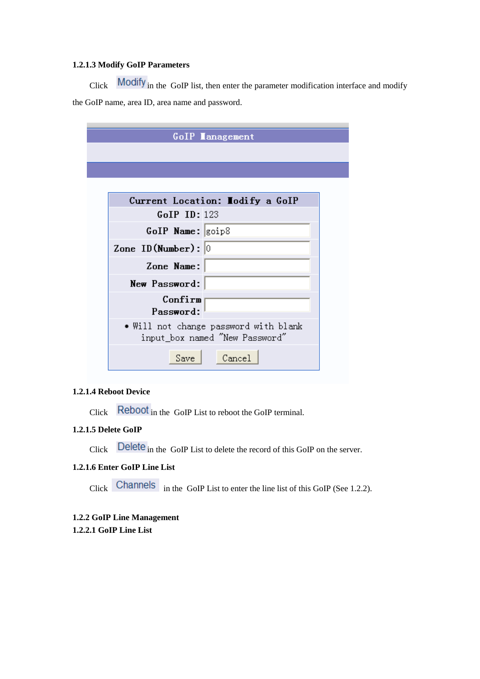### **1.2.1.3 Modify GoIP Parameters**

Click Modify in the GoIP list, then enter the parameter modification interface and modify the GoIP name, area ID, area name and password.

| GoIP lanagement                       |
|---------------------------------------|
|                                       |
|                                       |
|                                       |
|                                       |
| Current Location: Iodify a GoIP       |
| $GoIP$ ID: 123                        |
| $GoIP$ Name: $\gtrsim$ 801p8          |
| Zone ID (Number) : $ 0 $              |
|                                       |
| Zone Name:                            |
| New Password:                         |
| Confirm                               |
| Password:                             |
| • Will not change password with blank |
| input_box named "New Password"        |
|                                       |
| Cancel<br>Save                        |

#### **1.2.1.4 Reboot Device**

Click Reboot in the GoIP List to reboot the GoIP terminal.

### **1.2.1.5 Delete GoIP**

Click Delete in the GoIP List to delete the record of this GoIP on the server.

### **1.2.1.6 Enter GoIP Line List**

Click Channels in the GoIP List to enter the line list of this GoIP (See 1.2.2).

# **1.2.2 GoIP Line Management**

**1.2.2.1 GoIP Line List**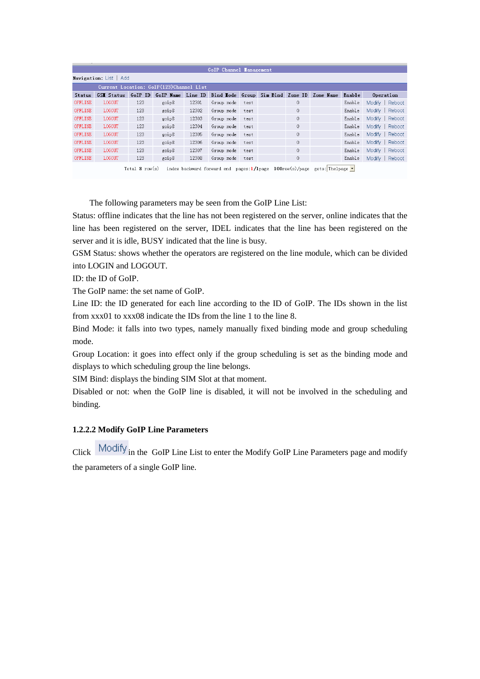| GoIP Channel Lanagement                 |                   |         |                   |       |                                  |      |  |              |           |        |                 |
|-----------------------------------------|-------------------|---------|-------------------|-------|----------------------------------|------|--|--------------|-----------|--------|-----------------|
| <b>Navigation</b> : List   Add          |                   |         |                   |       |                                  |      |  |              |           |        |                 |
| Current Location: GoIP(123)Channel List |                   |         |                   |       |                                  |      |  |              |           |        |                 |
| <b>Status</b>                           | <b>GSI Status</b> | GoIP ID | GoIP Name Line ID |       | Bind Lode Group Sim Bind Zone ID |      |  |              | Zone Name | Enable | Operation       |
| OFFLINE                                 | <b>LOGOUT</b>     | 123     | goip8             | 12301 | Group mode                       | test |  | 0            |           | Enable | Modify   Reboot |
| OFFLINE                                 | LOGOUT            | 123     | goip8             | 12302 | Group mode                       | test |  | 0            |           | Enable | Modify   Reboot |
| OFFLINE                                 | <b>LOGOUT</b>     | 123     | goip8             | 12303 | Group mode                       | test |  | 0            |           | Enable | Modify   Reboot |
| OFFLINE                                 | LOGOUT            | 123     | goip8             | 12304 | Group mode                       | test |  | $\mathbf{0}$ |           | Enable | Modify   Reboot |
| OFFLINE                                 | <b>LOGOUT</b>     | 123     | goip8             | 12305 | Group mode                       | test |  | 0            |           | Enable | Modify   Reboot |
| OFFLINE                                 | LOGOUT            | 123     | goip8             | 12306 | Group mode                       | test |  | 0            |           | Enable | Modify   Reboot |
| OFFLINE                                 | LOGOUT            | 123     | goip8             | 12307 | Group mode                       | test |  | 0            |           | Enable | Modify   Reboot |
| OFFLINE                                 | <b>LOGOUT</b>     | 123     | goip8             | 12308 | Group mode                       | test |  | 0            |           | Enable | Modify   Reboot |
|                                         |                   |         |                   |       |                                  |      |  |              |           |        |                 |

Total 8 row(s) index backward forward end pages:1/1page  $100$ row(s)/page goto: The 1page  $\blacksquare$ 

The following parameters may be seen from the GoIP Line List:

Status: offline indicates that the line has not been registered on the server, online indicates that the line has been registered on the server, IDEL indicates that the line has been registered on the server and it is idle, BUSY indicated that the line is busy.

GSM Status: shows whether the operators are registered on the line module, which can be divided into LOGIN and LOGOUT.

ID: the ID of GoIP.

The GoIP name: the set name of GoIP.

Line ID: the ID generated for each line according to the ID of GoIP. The IDs shown in the list from xxx01 to xxx08 indicate the IDs from the line 1 to the line 8.

Bind Mode: it falls into two types, namely manually fixed binding mode and group scheduling mode.

Group Location: it goes into effect only if the group scheduling is set as the binding mode and displays to which scheduling group the line belongs.

SIM Bind: displays the binding SIM Slot at that moment.

Disabled or not: when the GoIP line is disabled, it will not be involved in the scheduling and binding.

#### **1.2.2.2 Modify GoIP Line Parameters**

Click Modify in the GoIP Line List to enter the Modify GoIP Line Parameters page and modify the parameters of a single GoIP line.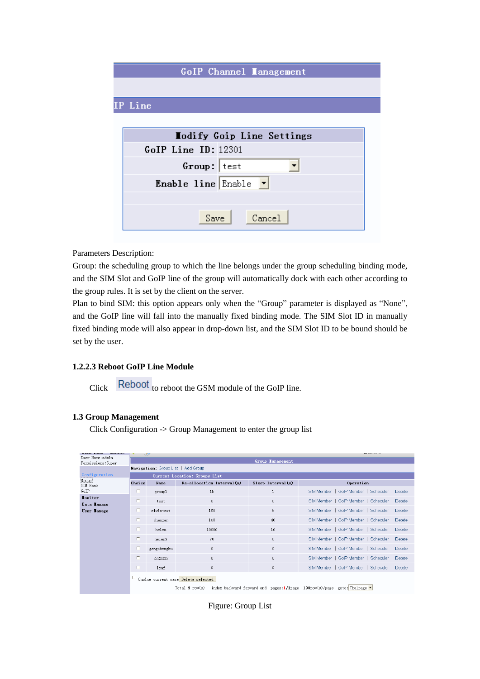| <b>GoIP Channel Lanagement</b>         |  |
|----------------------------------------|--|
|                                        |  |
| IP Line                                |  |
|                                        |  |
| Lodify Goip Line Settings              |  |
| GoIP Line ID: 12301                    |  |
| Group:   test                          |  |
| <b>Enable line</b> Enable $\mathbf{v}$ |  |
|                                        |  |
| Cancel<br>Save                         |  |

Parameters Description:

Group: the scheduling group to which the line belongs under the group scheduling binding mode, and the SIM Slot and GoIP line of the group will automatically dock with each other according to the group rules. It is set by the client on the server.

Plan to bind SIM: this option appears only when the "Group" parameter is displayed as "None", and the GoIP line will fall into the manually fixed binding mode. The SIM Slot ID in manually fixed binding mode will also appear in drop-down list, and the SIM Slot ID to be bound should be set by the user.

### **1.2.2.3 Reboot GoIP Line Module**

Click Reboot to reboot the GSM module of the GoIP line.

#### **1.3 Group Management**

Click Configuration -> Group Management to enter the group list

|                                       |                                     | -5.4                               |                                    |                         | .                                                                                      |  |  |  |  |  |  |  |  |
|---------------------------------------|-------------------------------------|------------------------------------|------------------------------------|-------------------------|----------------------------------------------------------------------------------------|--|--|--|--|--|--|--|--|
| User Name:admin<br>Permissions: Super |                                     |                                    |                                    | <b>Group Lanagement</b> |                                                                                        |  |  |  |  |  |  |  |  |
|                                       |                                     | Navigation: Group List   Add Group |                                    |                         |                                                                                        |  |  |  |  |  |  |  |  |
| Configuration                         |                                     | Current Location: Groups List      |                                    |                         |                                                                                        |  |  |  |  |  |  |  |  |
| Group<br>SIM Bank                     | Choice                              | Name                               | $Re\text{-}allocation Interval(m)$ | $Sleep$ Interval $(s)$  | Operation                                                                              |  |  |  |  |  |  |  |  |
| GoIP                                  | п                                   | group1                             | 15                                 |                         | SIM Member   GoIP Member   Scheduler  <br>Detete                                       |  |  |  |  |  |  |  |  |
| <b>Lonitor</b><br>Data lanage         | п                                   | test                               | $\theta$                           | $\theta$                | SIM Member   GoIP Member   Scheduler   Detete                                          |  |  |  |  |  |  |  |  |
| User lanage                           | п                                   | elwintest                          | 100                                | 5                       | SIM Member   GoIP Member   Scheduler   Detete                                          |  |  |  |  |  |  |  |  |
|                                       | г                                   | shenzen                            | 100                                | 40                      | SIM Member   GoIP Member   Scheduler   Detete                                          |  |  |  |  |  |  |  |  |
|                                       | п                                   | helen                              | 10000                              | 10                      | SIM Member   GoIP Member   Scheduler   Detete                                          |  |  |  |  |  |  |  |  |
|                                       | г                                   | helen9                             | 70                                 | $\theta$                | SIM Member   GoIP Member   Scheduler   Detete                                          |  |  |  |  |  |  |  |  |
|                                       | г                                   | gongchengbu                        | $\mathbf{0}$                       | $\theta$                | SIM Member   GoIP Member   Scheduler   Detete                                          |  |  |  |  |  |  |  |  |
|                                       |                                     | 2222222                            | $\mathbf{0}$                       | $\theta$                | SIM Member   GoIP Member   Scheduler   Detete                                          |  |  |  |  |  |  |  |  |
|                                       | п                                   | leaf                               | $\theta$                           | $\theta$                | SIM Member   GoIP Member   Scheduler   Detete                                          |  |  |  |  |  |  |  |  |
|                                       | Choice current page Delete selected |                                    |                                    |                         |                                                                                        |  |  |  |  |  |  |  |  |
|                                       |                                     |                                    | Total 9 row(s)                     |                         | index backward forward end pages:1/1page $100$ row(s)/page goto: Thelpage $\mathbf{r}$ |  |  |  |  |  |  |  |  |

Figure: Group List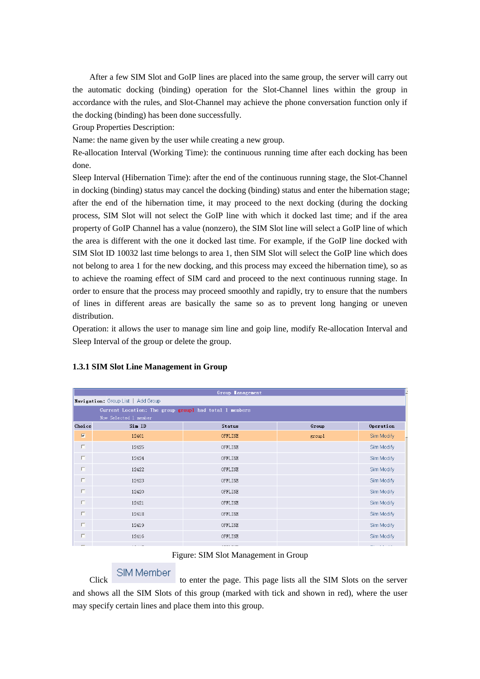After a few SIM Slot and GoIP lines are placed into the same group, the server will carry out the automatic docking (binding) operation for the Slot-Channel lines within the group in accordance with the rules, and Slot-Channel may achieve the phone conversation function only if the docking (binding) has been done successfully.

Group Properties Description:

Name: the name given by the user while creating a new group.

Re-allocation Interval (Working Time): the continuous running time after each docking has been done.

Sleep Interval (Hibernation Time): after the end of the continuous running stage, the Slot-Channel in docking (binding) status may cancel the docking (binding) status and enter the hibernation stage; after the end of the hibernation time, it may proceed to the next docking (during the docking process, SIM Slot will not select the GoIP line with which it docked last time; and if the area property of GoIP Channel has a value (nonzero), the SIM Slot line will select a GoIP line of which the area is different with the one it docked last time. For example, if the GoIP line docked with SIM Slot ID 10032 last time belongs to area 1, then SIM Slot will select the GoIP line which does not belong to area 1 for the new docking, and this process may exceed the hibernation time), so as to achieve the roaming effect of SIM card and proceed to the next continuous running stage. In order to ensure that the process may proceed smoothly and rapidly, try to ensure that the numbers of lines in different areas are basically the same so as to prevent long hanging or uneven distribution.

Operation: it allows the user to manage sim line and goip line, modify Re-allocation Interval and Sleep Interval of the group or delete the group.

|                                                                                 |                                    | <b>Group Lanagement</b> |        |            |  |  |  |  |  |
|---------------------------------------------------------------------------------|------------------------------------|-------------------------|--------|------------|--|--|--|--|--|
|                                                                                 | Navigation: Group List   Add Group |                         |        |            |  |  |  |  |  |
| Current Location: The group groupl had total 1 members<br>Now Selected 1 member |                                    |                         |        |            |  |  |  |  |  |
| Choice                                                                          | Sim ID                             | <b>Status</b>           | Group  | Operation  |  |  |  |  |  |
| $\overline{M}$                                                                  | 12401                              | <b>OFFLINE</b>          | group1 | Sim Modify |  |  |  |  |  |
| П                                                                               | 12425                              | OFFLINE                 |        | Sim Modify |  |  |  |  |  |
| п                                                                               | 12424                              | OFFLINE                 |        | Sim Modify |  |  |  |  |  |
| П                                                                               | 12422                              | <b>OFFLINE</b>          |        | Sim Modify |  |  |  |  |  |
| п                                                                               | 12423                              | OFFLINE                 |        | Sim Modify |  |  |  |  |  |
| п                                                                               | 12420                              | OFFLINE                 |        | Sim Modify |  |  |  |  |  |
| П                                                                               | 12421                              | OFFLINE                 |        | Sim Modify |  |  |  |  |  |
| П                                                                               | 12418                              | OFFLINE                 |        | Sim Modify |  |  |  |  |  |
| П                                                                               | 12419                              | OFFLINE                 |        | Sim Modify |  |  |  |  |  |
| П                                                                               | 12416                              | OFFLINE                 |        | Sim Modify |  |  |  |  |  |
|                                                                                 |                                    |                         |        |            |  |  |  |  |  |

#### **1.3.1 SIM Slot Line Management in Group**

Figure: SIM Slot Management in Group

SIM Member<br>to enter the page. This page lists all the SIM Slots on the server and shows all the SIM Slots of this group (marked with tick and shown in red), where the user may specify certain lines and place them into this group.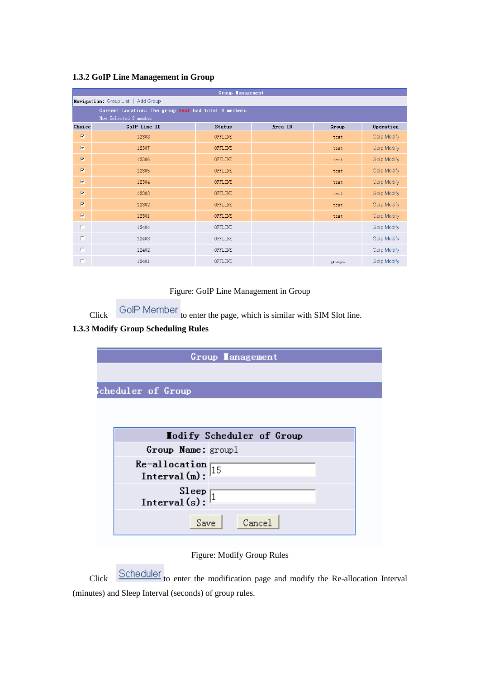| Group <b>I</b> anagement                             |                       |               |         |        |             |  |  |  |  |  |  |
|------------------------------------------------------|-----------------------|---------------|---------|--------|-------------|--|--|--|--|--|--|
| Navigation: Group List   Add Group                   |                       |               |         |        |             |  |  |  |  |  |  |
| Current Location: The group test had total 8 members |                       |               |         |        |             |  |  |  |  |  |  |
|                                                      | Now Selected 8 member |               |         |        |             |  |  |  |  |  |  |
| Choice                                               | GoIP Line ID          | <b>Status</b> | Area ID | Group  | Operation   |  |  |  |  |  |  |
| $\overline{\mathbf{M}}$                              | 12308                 | OFFLINE       |         | test   | Goip Modify |  |  |  |  |  |  |
| $\overline{\mathbf{v}}$                              | 12307                 | OFFLINE       |         | test   | Goip Modify |  |  |  |  |  |  |
| $\overline{\mathbf{y}}$                              | 12306                 | OFFLINE       |         | test   | Goip Modify |  |  |  |  |  |  |
| $\overline{\mathbf{v}}$                              | 12305                 | OFFLINE       |         | test   | Goip Modify |  |  |  |  |  |  |
| $\overline{\mathbf{M}}$                              | 12304                 | OFFLINE       |         | test   | Goip Modify |  |  |  |  |  |  |
| $\overline{\mathbf{v}}$                              | 12303                 | OFFLINE       |         | test   | Goip Modify |  |  |  |  |  |  |
| $\overline{\mathbf{M}}$                              | 12302                 | OFFLINE       |         | test   | Goip Modify |  |  |  |  |  |  |
| $\overline{\mathbf{v}}$                              | 12301                 | OFFLINE       |         | test   | Goip Modify |  |  |  |  |  |  |
| $\Box$                                               | 12404                 | OFFLINE       |         |        | Goip Modify |  |  |  |  |  |  |
| $\Box$                                               | 12403                 | OFFLINE       |         |        | Goip Modify |  |  |  |  |  |  |
| $\Box$                                               | 12402                 | OFFLINE       |         |        | Goip Modify |  |  |  |  |  |  |
| П                                                    | 12401                 | OFFLINE       |         | group1 | Goip Modify |  |  |  |  |  |  |

#### **1.3.2 GoIP Line Management in Group**

Figure: GoIP Line Management in Group

Click  $\overline{G}$  ColP Member to enter the page, which is similar with SIM Slot line.

# **1.3.3 Modify Group Scheduling Rules**

| Group Lanagement                                      |  |  |  |  |  |  |  |
|-------------------------------------------------------|--|--|--|--|--|--|--|
|                                                       |  |  |  |  |  |  |  |
| cheduler of Group                                     |  |  |  |  |  |  |  |
|                                                       |  |  |  |  |  |  |  |
|                                                       |  |  |  |  |  |  |  |
| Lodify Scheduler of Group                             |  |  |  |  |  |  |  |
| Group Name: group1                                    |  |  |  |  |  |  |  |
| Re-allocation $\sqrt{15}$<br>Interval(m):             |  |  |  |  |  |  |  |
|                                                       |  |  |  |  |  |  |  |
| $\frac{\text{Sleep}}{\text{Interval(s)}:\frac{1}{1}}$ |  |  |  |  |  |  |  |
|                                                       |  |  |  |  |  |  |  |
| Cancel<br>Save                                        |  |  |  |  |  |  |  |
|                                                       |  |  |  |  |  |  |  |
| Figure: Modify Group Rules                            |  |  |  |  |  |  |  |

Click Scheduler to enter the modification page and modify the Re-allocation Interval (minutes) and Sleep Interval (seconds) of group rules.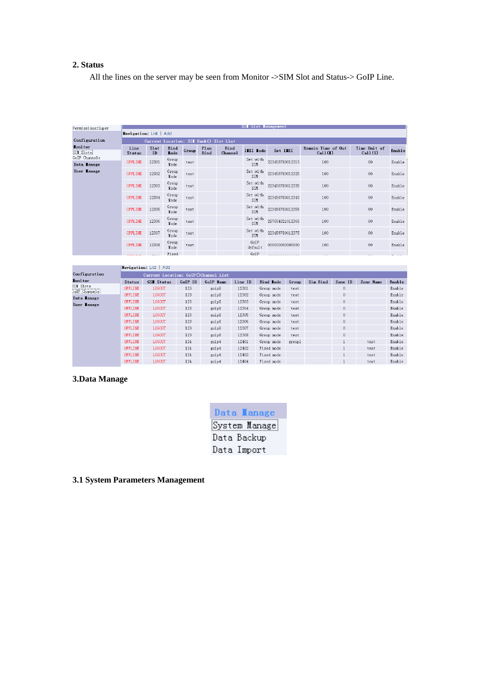### **2. Status**

All the lines on the server may be seen from Monitor ->SIM Slot and Status-> GoIP Line.

| SIL Slot Lanagement<br>Permissions: Super |                                         |            |                      |       |              |                 |                   |                 |                               |                         |        |  |
|-------------------------------------------|-----------------------------------------|------------|----------------------|-------|--------------|-----------------|-------------------|-----------------|-------------------------------|-------------------------|--------|--|
|                                           | Navigation: List   Add                  |            |                      |       |              |                 |                   |                 |                               |                         |        |  |
| Configuration                             | Current Location: SII Bank () Slot List |            |                      |       |              |                 |                   |                 |                               |                         |        |  |
| <b>Lonitor</b><br>SIM Slots               | Line<br><b>Status</b>                   | Slot<br>ID | Bind<br><b>I</b> ode | Group | Plan<br>Bind | Bind<br>Channel | <b>IIEI I</b> ode | Set IIEI        | Remain Time of Out<br>Call(I) | Time Unit of<br>Cal1(S) | Enable |  |
| GoIP Channels                             |                                         |            | Group                |       |              |                 | Set with          |                 |                               |                         |        |  |
| Data Lanage                               | OFFLINE                                 | 12301      | Mode                 | test  |              |                 | SIM               | 223456789012315 | 100                           | 60                      | Enable |  |
| User Lanage                               | <b>OFFLINE</b>                          | 12302      | Group<br>Mode        | test  |              |                 | Set with<br>SIM   | 223456789012325 | 100                           | 60                      | Enable |  |
|                                           | OFFLINE                                 | 12303      | Group<br>Mode        | test  |              |                 | Set with<br>SIM   | 223456789012335 | 100                           | 60                      | Enable |  |
|                                           | <b>OFFLINE</b>                          | 12304      | Group<br>Mode        | test  |              |                 | Set with<br>SIM   | 223456789012345 | 100                           | 60                      | Enable |  |
|                                           | <b>OFFLINE</b>                          | 12305      | Group<br>Mode        | test  |              |                 | Set with<br>SIM   | 223456789012355 | 100                           | 60                      | Enable |  |
|                                           | OFFLINE                                 | 12306      | Group<br>Mode        | test  |              |                 | Set with<br>SIM   | 287654321012365 | 100                           | 60                      | Enable |  |
|                                           | OFFLINE                                 | 12307      | Group<br>Mode        | test  |              |                 | Set with<br>SIM   | 223456789012375 | 100                           | 60                      | Enable |  |
|                                           | OFFLINE                                 | 12308      | Group<br>Mode        | test  |              |                 | GoIP<br>default   | 00000000000000  | 100                           | 60                      | Enable |  |
|                                           |                                         |            | Fixed                |       |              |                 | GoIP              |                 |                               |                         |        |  |

|                            | Navigation: List   Add               |                   |         |           |         |                  |        |          |              |           |        |  |
|----------------------------|--------------------------------------|-------------------|---------|-----------|---------|------------------|--------|----------|--------------|-----------|--------|--|
| Configuration              | Current Location: GoIP()Channel List |                   |         |           |         |                  |        |          |              |           |        |  |
| <b>Lonitor</b>             | <b>Status</b>                        | <b>GSI Status</b> | GoIP ID | GoIP Name | Line ID | Bind <b>Hode</b> | Group  | Sim Bind | Zone ID      | Zone Name | Enable |  |
| SIM Slots<br>GoIP Channels | OFFLINE                              | <b>LOGOUT</b>     | 123     | goip8     | 12301   | Group mode       | test   |          | $\mathbf{0}$ |           | Enable |  |
| Data Lanage                | OFFLINE                              | <b>LOGOUT</b>     | 123     | goip8     | 12302   | Group mode       | test   |          | $\mathbf{0}$ |           | Enable |  |
| User Lanage                | <b>OFFLINE</b>                       | <b>LOGOUT</b>     | 123     | goip8     | 12303   | Group mode       | test   |          | $\circ$      |           | Enable |  |
|                            | <b>OFFLINE</b>                       | LOGOUT            | 123     | goip8     | 12304   | Group mode       | test   |          | $\circ$      |           | Enable |  |
|                            | OFFLINE                              | <b>LOGOUT</b>     | 123     | goip8     | 12305   | Group mode       | test   |          | $\circ$      |           | Enable |  |
|                            | OFFLINE                              | <b>LOGOUT</b>     | 123     | goip8     | 12306   | Group mode       | test   |          | $\mathbf{0}$ |           | Enable |  |
|                            | OFFLINE                              | <b>LOGOUT</b>     | 123     | goip8     | 12307   | Group mode       | test   |          | $\circ$      |           | Enable |  |
|                            | <b>OFFLINE</b>                       | <b>LOGOUT</b>     | 123     | goip8     | 12308   | Group mode       | test   |          | $\mathbf{0}$ |           | Enable |  |
|                            | <b>OFFLINE</b>                       | <b>LOGOUT</b>     | 124     | goip4     | 12401   | Group mode       | group1 |          | ш            | test      | Enable |  |
|                            | OFFLINE                              | LOGOUT            | 124     | goip4     | 12402   | Fixed mode       |        |          |              | test      | Enable |  |
|                            | OFFLINE                              | <b>LOGOUT</b>     | 124     | goip4     | 12403   | Fixed mode       |        |          |              | test      | Enable |  |
|                            | OFFLINE                              | <b>LOGOUT</b>     | 124     | goip4     | 12404   | Fixed mode       |        |          |              | test      | Enable |  |

### **3.Data Manage**

| Data lanage   |
|---------------|
| System Manage |
| Data Backup   |
| Data Import   |

**Contract Contract Contract** 

**3.1 System Parameters Management**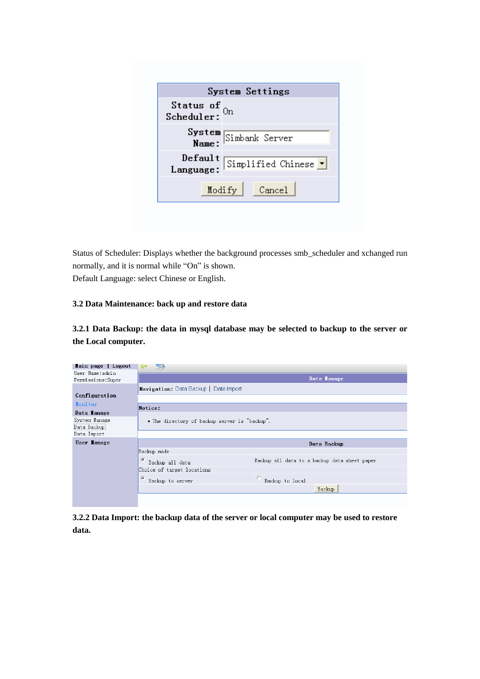| System Settings                                                 |                       |  |  |  |  |  |
|-----------------------------------------------------------------|-----------------------|--|--|--|--|--|
| Status of $_{0n}$<br>Scheduler:                                 |                       |  |  |  |  |  |
|                                                                 | System Simbank Server |  |  |  |  |  |
| Default<br>Simplified Chinese $\blacktriangledown$<br>Language: |                       |  |  |  |  |  |
|                                                                 | Cancel<br>Modify      |  |  |  |  |  |

Status of Scheduler: Displays whether the background processes smb\_scheduler and xchanged run normally, and it is normal while "On" is shown. Default Language: select Chinese or English.

#### **3.2 Data Maintenance: back up and restore data**

**3.2.1 Data Backup: the data in mysql database may be selected to backup to the server or the Local computer.**

| lain page   Logout                    |                                                                             |  |  |  |  |  |  |
|---------------------------------------|-----------------------------------------------------------------------------|--|--|--|--|--|--|
| User Name:admin<br>Permissions: Super | Data Lanage                                                                 |  |  |  |  |  |  |
|                                       | <b>Navigation:</b> Data Backup   Data Import                                |  |  |  |  |  |  |
| Configuration                         |                                                                             |  |  |  |  |  |  |
| <b>Ionitor</b>                        | Notice:                                                                     |  |  |  |  |  |  |
| Data lanage                           |                                                                             |  |  |  |  |  |  |
| System Manage<br>Data Backupi         | • The directory of backup server is "backup".                               |  |  |  |  |  |  |
| Data Import                           |                                                                             |  |  |  |  |  |  |
| User lanage                           | Data Backup                                                                 |  |  |  |  |  |  |
|                                       | Backup mode                                                                 |  |  |  |  |  |  |
|                                       | $\sigma$<br>Backup all data to a backup data sheet paper<br>Backup all data |  |  |  |  |  |  |
|                                       | Choice of target locations                                                  |  |  |  |  |  |  |
|                                       | $\epsilon$<br>Backup to local<br>Backup to server                           |  |  |  |  |  |  |
|                                       | Backup                                                                      |  |  |  |  |  |  |
|                                       |                                                                             |  |  |  |  |  |  |

**3.2.2 Data Import: the backup data of the server or local computer may be used to restore data.**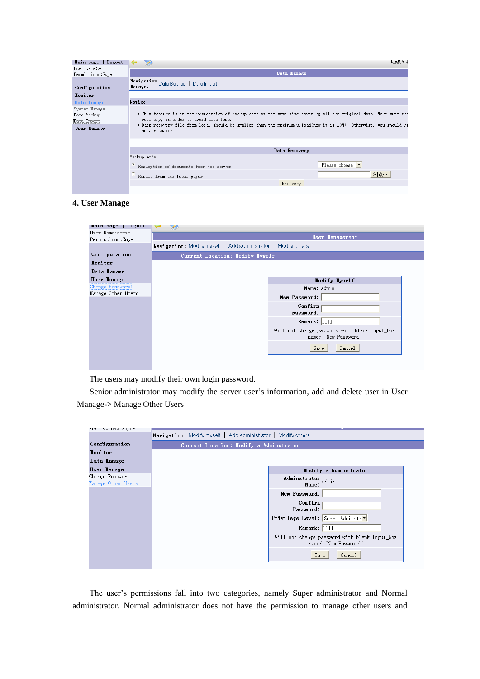| Tain page   Logout                                         | 切换到简体                                                                                                                                                                                                                                                                                                |  |  |  |  |  |  |  |
|------------------------------------------------------------|------------------------------------------------------------------------------------------------------------------------------------------------------------------------------------------------------------------------------------------------------------------------------------------------------|--|--|--|--|--|--|--|
| User Name:admin<br>Permissions: Super                      | Data Lanage                                                                                                                                                                                                                                                                                          |  |  |  |  |  |  |  |
| Configuration                                              | Navigation Data Backup   Data Import<br><b>I</b> anage:                                                                                                                                                                                                                                              |  |  |  |  |  |  |  |
| <b>Ionitor</b>                                             |                                                                                                                                                                                                                                                                                                      |  |  |  |  |  |  |  |
| Data Manage                                                | Notice                                                                                                                                                                                                                                                                                               |  |  |  |  |  |  |  |
| System Manage<br>Data Backup<br>Data Import<br>User lanage | • This feature is in the restoration of backup data at the same time covering all the original data. Make sure tha<br>recovery, in order to avoid data loss.<br>• Data recovery file from local should be smaller than the maxinum upload(now it is 10M). Otherwise, you should us<br>server backup. |  |  |  |  |  |  |  |
|                                                            |                                                                                                                                                                                                                                                                                                      |  |  |  |  |  |  |  |
|                                                            | Data Recovery                                                                                                                                                                                                                                                                                        |  |  |  |  |  |  |  |
|                                                            | Backup mode                                                                                                                                                                                                                                                                                          |  |  |  |  |  |  |  |
|                                                            | $-$ Please choose- $\vert \cdot \vert$<br>Resumption of documents from the server                                                                                                                                                                                                                    |  |  |  |  |  |  |  |
|                                                            | 浏览<br>Resume from the local paper                                                                                                                                                                                                                                                                    |  |  |  |  |  |  |  |
|                                                            | Recovery                                                                                                                                                                                                                                                                                             |  |  |  |  |  |  |  |
|                                                            |                                                                                                                                                                                                                                                                                                      |  |  |  |  |  |  |  |

#### **4. User Manage**

| Lain page   Logout<br>User Name:admin |                                                                       |  |  |  |  |  |  |  |  |
|---------------------------------------|-----------------------------------------------------------------------|--|--|--|--|--|--|--|--|
| Permissions: Super                    | User lanagement                                                       |  |  |  |  |  |  |  |  |
|                                       | <b>Navigation:</b> Modify myself   Add administrator   Modify others  |  |  |  |  |  |  |  |  |
| Configuration                         | Current Location: Lodify Lyself                                       |  |  |  |  |  |  |  |  |
| Ionitor                               |                                                                       |  |  |  |  |  |  |  |  |
| Data lanage                           |                                                                       |  |  |  |  |  |  |  |  |
| User lanage                           | <b>Iodify Iyself</b>                                                  |  |  |  |  |  |  |  |  |
| Change Password                       | Name: admin                                                           |  |  |  |  |  |  |  |  |
| Manage Other Users                    | New Password:                                                         |  |  |  |  |  |  |  |  |
|                                       | Confirm<br>password:                                                  |  |  |  |  |  |  |  |  |
|                                       | Remark: 1111                                                          |  |  |  |  |  |  |  |  |
|                                       | Will not change password with blank input box<br>named "New Password" |  |  |  |  |  |  |  |  |
|                                       | Save<br>Cancel                                                        |  |  |  |  |  |  |  |  |
|                                       |                                                                       |  |  |  |  |  |  |  |  |

The users may modify their own login password.

Senior administrator may modify the server user's information, add and delete user in User Manage-> Manage Other Users

| rermissions.ouper                     |                                                                       |  |  |  |  |  |  |  |
|---------------------------------------|-----------------------------------------------------------------------|--|--|--|--|--|--|--|
|                                       | Navigation: Modify myself   Add administrator   Modify others         |  |  |  |  |  |  |  |
| Configuration                         | Current Location: Iodify a Adminstrator                               |  |  |  |  |  |  |  |
| <b>Ionitor</b>                        |                                                                       |  |  |  |  |  |  |  |
| Data lanage                           |                                                                       |  |  |  |  |  |  |  |
| User lanage                           | <b>Iodify a Adminstrator</b>                                          |  |  |  |  |  |  |  |
| Change Password<br>Manage Other Users | Adminstrator<br>Name: admin                                           |  |  |  |  |  |  |  |
|                                       | New Password:                                                         |  |  |  |  |  |  |  |
|                                       | Comfirm<br>Password:                                                  |  |  |  |  |  |  |  |
|                                       | Privilege Level: Super Adminstr                                       |  |  |  |  |  |  |  |
|                                       | Remark: 1111                                                          |  |  |  |  |  |  |  |
|                                       | Will not change password with blank input_box<br>named "New Password" |  |  |  |  |  |  |  |
|                                       | Save<br>Cancel                                                        |  |  |  |  |  |  |  |

The user's permissions fall into two categories, namely Super administrator and Normal administrator. Normal administrator does not have the permission to manage other users and